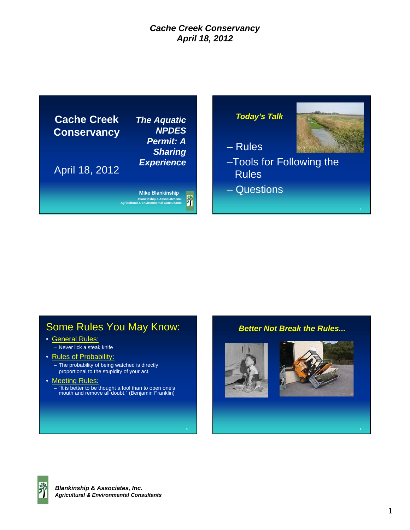

# Some Rules You May Know:

- General Rules:
	- Never lick a steak knife
- Rules of Probability:
	- The probability of being watched is directly proportional to the stupidity of your act.
- Meeting Rules:
	- "It is better to be thought a fool than to open one's mouth and remove all doubt." (Benjamin Franklin)

### *Better Not Break the Rules...*





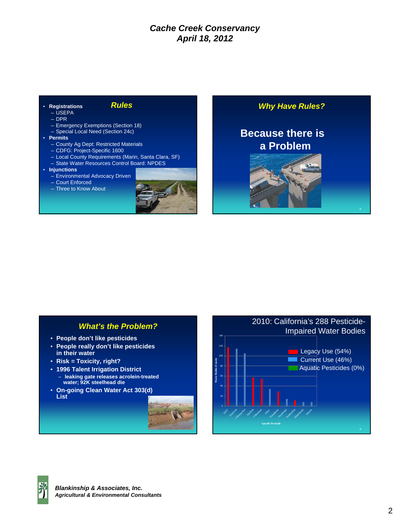| <b>Rules</b><br><b>Registrations</b><br>٠<br>– USEPA                                                                                                                                                                                                                                                                                                                                                    | <b>Why Have Rules?</b>               |
|---------------------------------------------------------------------------------------------------------------------------------------------------------------------------------------------------------------------------------------------------------------------------------------------------------------------------------------------------------------------------------------------------------|--------------------------------------|
| $-$ DPR<br>- Emergency Exemptions (Section 18)<br>- Special Local Need (Section 24c)<br>• Permits<br>- County Ag Dept: Restricted Materials<br>- CDFG: Project-Specific 1600<br>- Local County Requirements (Marin, Santa Clara, SF)<br>- State Water Resources Control Board: NPDES<br><b>Injunctions</b><br>$\bullet$<br>- Environmental Advocacy Driven<br>- Court Enforced<br>- Three to Know About | <b>Because there is</b><br>a Problem |

#### *What's the Problem?*

- **People don't like pesticides**
- **People really don't like pesticides in their water**
- **Risk = Toxicity, right?**
- **1996 Talent Irrigation District** – **leaking gate releases acrolein-treated**
- **water; 92K steelhead die**
- **On-going Clean Water Act 303(d) List**





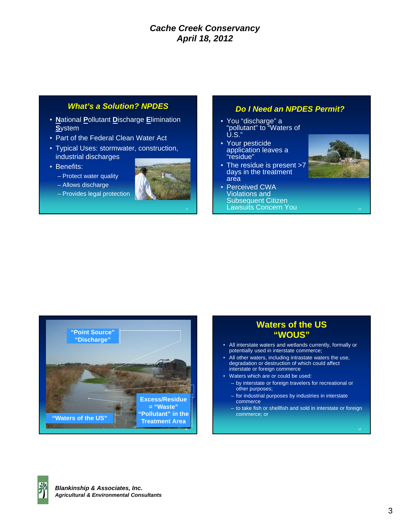### *What's a Solution? NPDES*

- **N**ational **P**ollutant **D**ischarge **E**limination **S**ystem
- Part of the Federal Clean Water Act
- Typical Uses: stormwater, construction, industrial discharges
- Benefits:
	- Protect water quality
	- Allows discharge
	- Provides legal protection



### *Do I Need an NPDES Permit?*

- You "discharge" a "pollutant" to "Waters of U.S."
- Your pesticide application leaves a "residue"
- The residue is present >7 days in the treatment area
- Perceived CWA Violations and Subsequent Citizen Lawsuits Concern You





### **Waters of the US "WOUS"**

- All interstate waters and wetlands currently, formally or potentially used in interstate commerce;
- All other waters, including intrastate waters the use, degradation or destruction of which could affect interstate or foreign commerce
- Waters which are or could be used:
	- by interstate or foreign travelers for recreational or other purposes;
	- for industrial purposes by industries in interstate commerce
	- to take fish or shellfish and sold in interstate or foreign commerce; or

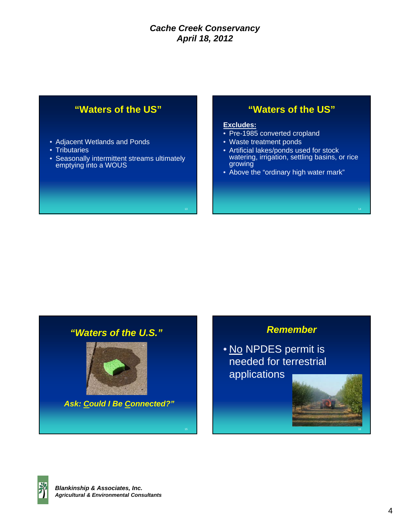# **"Waters of the US"**

- Adjacent Wetlands and Ponds
- Tributaries
- Seasonally intermittent streams ultimately emptying into a WOUS

# **"Waters of the US"**

#### **Excludes:**

- Pre-1985 converted cropland
- Waste treatment ponds
- Artificial lakes/ponds used for stock watering, irrigation, settling basins, or rice growing
- Above the "ordinary high water mark"

# *"Waters of the U.S."*



*Ask: Could I Be Connected?"*

### *Remember*

• No NPDES permit is needed for terrestrial applications

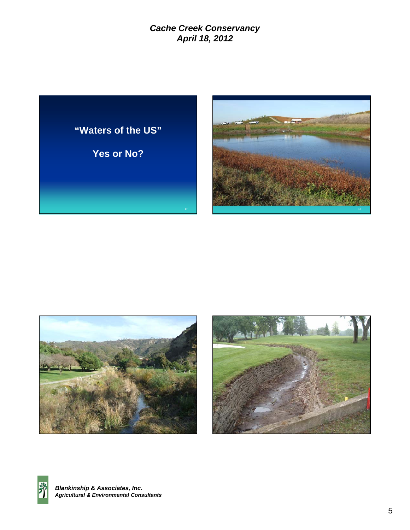









*Blankinship & Associates, Inc. Agricultural & Environmental Consultants*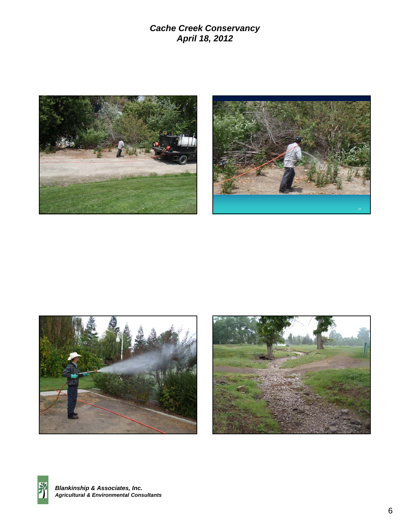









*Blankinship & Associates, Inc. Agricultural & Environmental Consultants*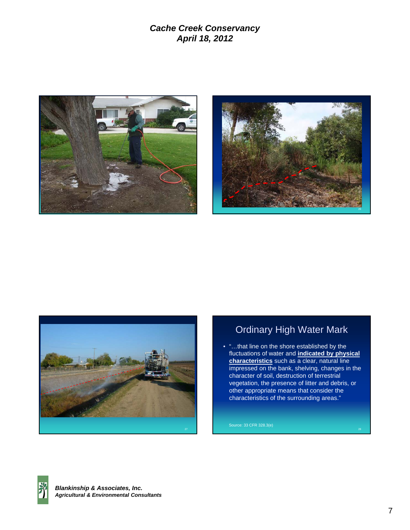





# Ordinary High Water Mark

• "…that line on the shore established by the fluctuations of water and **indicated by physical characteristics** such as a clear, natural line impressed on the bank, shelving, changes in the character of soil, destruction of terrestrial vegetation, the presence of litter and debris, or other appropriate means that consider the characteristics of the surrounding areas."



*Blankinship & Associates, Inc. Agricultural & Environmental Consultants*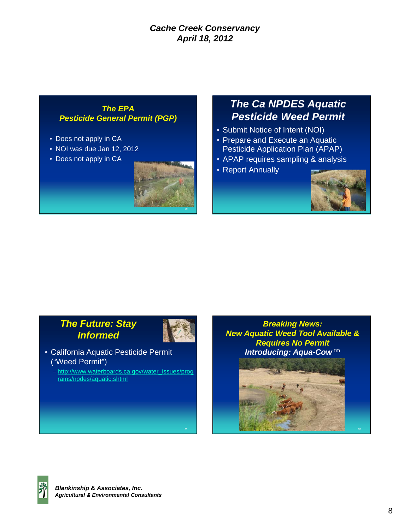### *The EPA Pesticide General Permit (PGP)*

- Does not apply in CA
- NOI was due Jan 12, 2012
- Does not apply in CA



# *The Ca NPDES Aquatic Pesticide Weed Permit*

- Submit Notice of Intent (NOI)
- Prepare and Execute an Aquatic Pesticide Application Plan (APAP)
- APAP requires sampling & analysis
- Report Annually



# *The Future: Stay Informed*



31

• California Aquatic Pesticide Permit ("Weed Permit")

– http://www.waterboards.ca.gov/water\_issues/prog rams/npdes/aquatic.shtml

*Breaking News: New Aquatic Weed Tool Available & Requires No Permit Introducing: Aqua-Cow* tm